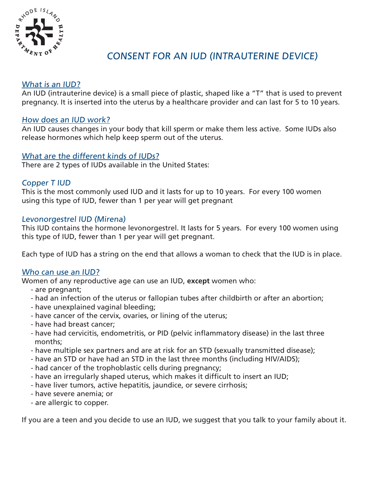

# CONSENT FOR AN IUD (INTRAUTERINE DEVICE)

# What is an IUD?

An IUD (intrauterine device) is a small piece of plastic, shaped like a "T" that is used to prevent pregnancy. It is inserted into the uterus by a healthcare provider and can last for 5 to 10 years.

# How does an IUD work?

An IUD causes changes in your body that kill sperm or make them less active. Some IUDs also release hormones which help keep sperm out of the uterus.

# What are the different kinds of IUDs?

There are 2 types of IUDs available in the United States:

# Copper T IUD

This is the most commonly used IUD and it lasts for up to 10 years. For every 100 women using this type of IUD, fewer than 1 per year will get pregnant

#### Levonorgestrel IUD (Mirena)

This IUD contains the hormone levonorgestrel. It lasts for 5 years. For every 100 women using this type of IUD, fewer than 1 per year will get pregnant.

Each type of IUD has a string on the end that allows a woman to check that the IUD is in place.

#### Who can use an IUD?

Women of any reproductive age can use an IUD, **except** women who:

- are pregnant;
- had an infection of the uterus or fallopian tubes after childbirth or after an abortion;
- have unexplained vaginal bleeding;
- have cancer of the cervix, ovaries, or lining of the uterus;
- have had breast cancer;
- have had cervicitis, endometritis, or PID (pelvic inflammatory disease) in the last three months;
- have multiple sex partners and are at risk for an STD (sexually transmitted disease);
- have an STD or have had an STD in the last three months (including HIV/AIDS);
- had cancer of the trophoblastic cells during pregnancy;
- have an irregularly shaped uterus, which makes it difficult to insert an IUD;
- have liver tumors, active hepatitis, jaundice, or severe cirrhosis;
- have severe anemia; or
- are allergic to copper.

If you are a teen and you decide to use an IUD, we suggest that you talk to your family about it.